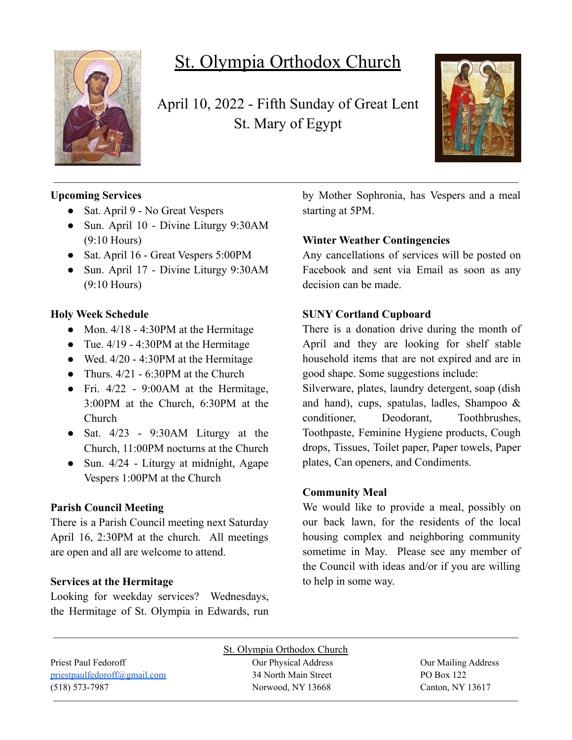

# St. Olympia Orthodox Church

April 10, 2022 - Fifth Sunday of Great Lent St. Mary of Egypt



# **Upcoming Services**

- Sat. April 9 No Great Vespers
- Sun. April 10 Divine Liturgy 9:30AM (9:10 Hours)
- Sat. April 16 Great Vespers 5:00PM
- Sun. April 17 Divine Liturgy 9:30AM (9:10 Hours)

## **Holy Week Schedule**

- Mon.  $4/18 4:30$ PM at the Hermitage
- Tue.  $4/19 4:30$ PM at the Hermitage
- Wed.  $4/20 4:30$ PM at the Hermitage
- Thurs.  $4/21 6:30$ PM at the Church
- Fri.  $4/22$  9:00 AM at the Hermitage, 3:00PM at the Church, 6:30PM at the Church
- Sat.  $4/23$  9:30AM Liturgy at the Church, 11:00PM nocturns at the Church
- Sun.  $4/24$  Liturgy at midnight, Agape Vespers 1:00PM at the Church

# **Parish Council Meeting**

There is a Parish Council meeting next Saturday April 16, 2:30PM at the church. All meetings are open and all are welcome to attend.

#### **Services at the Hermitage**

Looking for weekday services? Wednesdays, the Hermitage of St. Olympia in Edwards, run by Mother Sophronia, has Vespers and a meal starting at 5PM.

## **Winter Weather Contingencies**

Any cancellations of services will be posted on Facebook and sent via Email as soon as any decision can be made.

#### **SUNY Cortland Cupboard**

There is a donation drive during the month of April and they are looking for shelf stable household items that are not expired and are in good shape. Some suggestions include:

Silverware, plates, laundry detergent, soap (dish and hand), cups, spatulas, ladles, Shampoo & conditioner, Deodorant, Toothbrushes, Toothpaste, Feminine Hygiene products, Cough drops, Tissues, Toilet paper, Paper towels, Paper plates, Can openers, and Condiments.

#### **Community Meal**

We would like to provide a meal, possibly on our back lawn, for the residents of the local housing complex and neighboring community sometime in May. Please see any member of the Council with ideas and/or if you are willing to help in some way.

| St. Olympia Orthodox Church  |                      |                     |  |  |
|------------------------------|----------------------|---------------------|--|--|
| Priest Paul Fedoroff         | Our Physical Address | Our Mailing Address |  |  |
| priestpaulfedoroff@gmail.com | 34 North Main Street | PO Box 122          |  |  |
| $(518) 573 - 7987$           | Norwood, NY 13668    | Canton, NY 13617    |  |  |